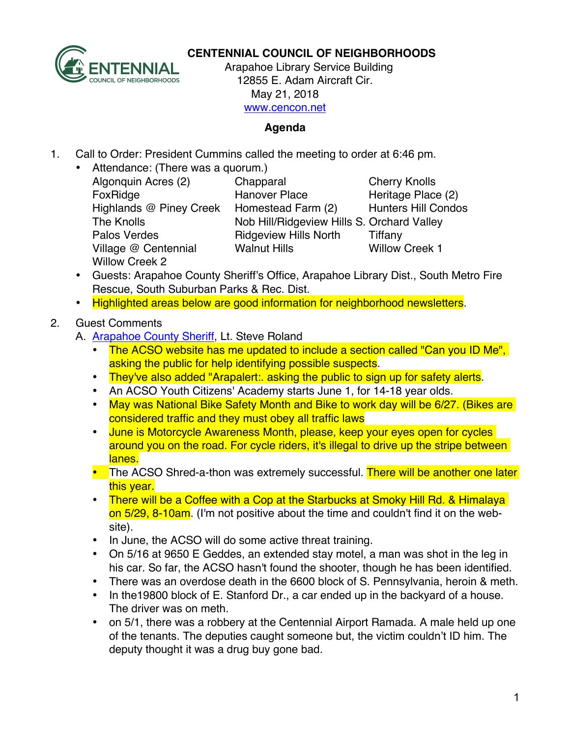

## **CENTENNIAL COUNCIL OF NEIGHBORHOODS**

 Arapahoe Library Service Building 12855 E. Adam Aircraft Cir. May 21, 2018 www.cencon.net

## **Agenda**

- 1. Call to Order: President Cummins called the meeting to order at 6:46 pm.
	- Attendance: (There was a quorum.) Village @ Centennial Walnut Hills Willow Creek 1 Willow Creek 2

Algonquin Acres (2) Chapparal Cherry Knolls FoxRidge **Hanover Place** Heritage Place (2) Highlands @ Piney Creek Homestead Farm (2) Hunters Hill Condos The Knolls Nob Hill/Ridgeview Hills S. Orchard Valley Palos Verdes **Ridgeview Hills North** Tiffany

- Guests: Arapahoe County Sheriff's Office, Arapahoe Library Dist., South Metro Fire Rescue, South Suburban Parks & Rec. Dist.
- Highlighted areas below are good information for neighborhood newsletters.

## 2. Guest Comments

- A. Arapahoe County Sheriff, Lt. Steve Roland
	- The ACSO website has me updated to include a section called "Can you ID Me", asking the public for help identifying possible suspects.
	- They've also added "Arapalert: asking the public to sign up for safety alerts.
	- An ACSO Youth Citizens' Academy starts June 1, for 14-18 year olds.
	- May was National Bike Safety Month and Bike to work day will be 6/27. (Bikes are considered traffic and they must obey all traffic laws
	- June is Motorcycle Awareness Month, please, keep your eyes open for cycles around you on the road. For cycle riders, it's illegal to drive up the stripe between lanes.
	- The ACSO Shred-a-thon was extremely successful. There will be another one later this year.
	- There will be a Coffee with a Cop at the Starbucks at Smoky Hill Rd. & Himalaya on 5/29, 8-10am. (I'm not positive about the time and couldn't find it on the website).
	- In June, the ACSO will do some active threat training.
	- On 5/16 at 9650 E Geddes, an extended stay motel, a man was shot in the leg in his car. So far, the ACSO hasn't found the shooter, though he has been identified.
	- There was an overdose death in the 6600 block of S. Pennsylvania, heroin & meth.
	- In the19800 block of E. Stanford Dr., a car ended up in the backyard of a house. The driver was on meth.
	- on 5/1, there was a robbery at the Centennial Airport Ramada. A male held up one of the tenants. The deputies caught someone but, the victim couldn't ID him. The deputy thought it was a drug buy gone bad.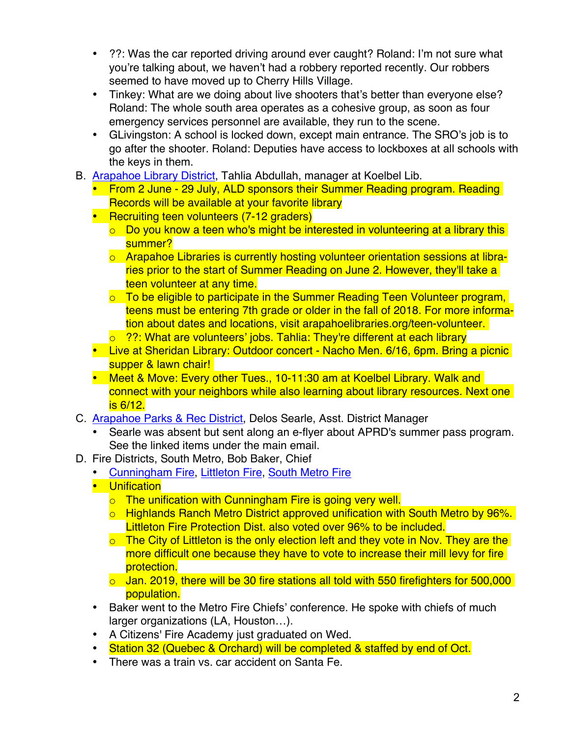- ??: Was the car reported driving around ever caught? Roland: I'm not sure what you're talking about, we haven't had a robbery reported recently. Our robbers seemed to have moved up to Cherry Hills Village.
- Tinkey: What are we doing about live shooters that's better than everyone else? Roland: The whole south area operates as a cohesive group, as soon as four emergency services personnel are available, they run to the scene.
- GLivingston: A school is locked down, except main entrance. The SRO's job is to go after the shooter. Roland: Deputies have access to lockboxes at all schools with the keys in them.
- B. Arapahoe Library District, Tahlia Abdullah, manager at Koelbel Lib.
	- From 2 June 29 July, ALD sponsors their Summer Reading program. Reading Records will be available at your favorite library
	- Recruiting teen volunteers (7-12 graders)
		- $\circ$  Do you know a teen who's might be interested in volunteering at a library this summer?
		- o Arapahoe Libraries is currently hosting volunteer orientation sessions at libraries prior to the start of Summer Reading on June 2. However, they'll take a teen volunteer at any time.
		- o To be eligible to participate in the Summer Reading Teen Volunteer program, teens must be entering 7th grade or older in the fall of 2018. For more information about dates and locations, visit arapahoelibraries.org/teen-volunteer.
		- o ??: What are volunteers' jobs. Tahlia: They're different at each library
	- Live at Sheridan Library: Outdoor concert Nacho Men. 6/16, 6pm. Bring a picnic supper & lawn chair!
	- Meet & Move: Every other Tues., 10-11:30 am at Koelbel Library. Walk and connect with your neighbors while also learning about library resources. Next one is 6/12.
- C. Arapahoe Parks & Rec District, Delos Searle, Asst. District Manager
	- Searle was absent but sent along an e-flyer about APRD's summer pass program. See the linked items under the main email.
- D. Fire Districts, South Metro, Bob Baker, Chief
	- Cunningham Fire, Littleton Fire, South Metro Fire
	- Unification
		- o The unification with Cunningham Fire is going very well.
		- o Highlands Ranch Metro District approved unification with South Metro by 96%. Littleton Fire Protection Dist. also voted over 96% to be included.
		- $\circ$  The City of Littleton is the only election left and they vote in Nov. They are the more difficult one because they have to vote to increase their mill levy for fire protection.
		- $\circ$  Jan. 2019, there will be 30 fire stations all told with 550 firefighters for 500,000 population.
	- Baker went to the Metro Fire Chiefs' conference. He spoke with chiefs of much larger organizations (LA, Houston…).
	- A Citizens' Fire Academy just graduated on Wed.
	- Station 32 (Quebec & Orchard) will be completed & staffed by end of Oct.
	- There was a train vs. car accident on Santa Fe.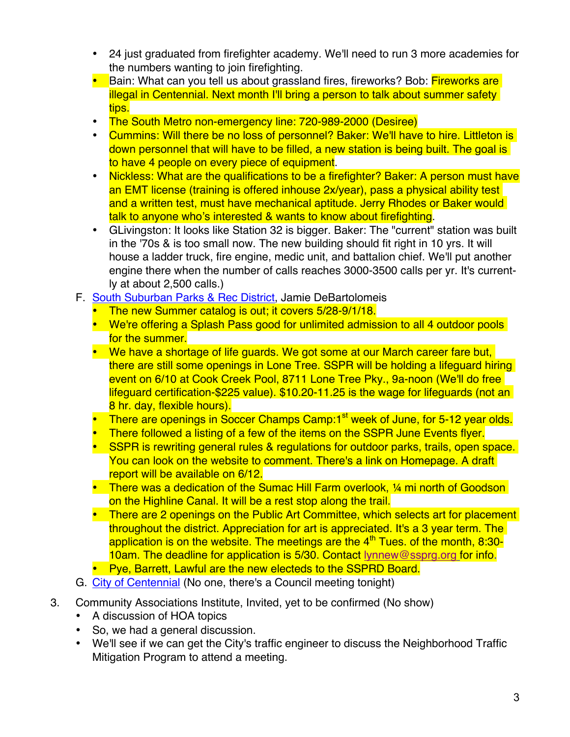- 24 just graduated from firefighter academy. We'll need to run 3 more academies for the numbers wanting to join firefighting.
- Bain: What can you tell us about grassland fires, fireworks? Bob: Fireworks are illegal in Centennial. Next month I'll bring a person to talk about summer safety tips.
- The South Metro non-emergency line: 720-989-2000 (Desiree)
- Cummins: Will there be no loss of personnel? Baker: We'll have to hire. Littleton is down personnel that will have to be filled, a new station is being built. The goal is to have 4 people on every piece of equipment.
- Nickless: What are the qualifications to be a firefighter? Baker: A person must have an EMT license (training is offered inhouse 2x/year), pass a physical ability test and a written test, must have mechanical aptitude. Jerry Rhodes or Baker would talk to anyone who's interested & wants to know about firefighting.
- GLivingston: It looks like Station 32 is bigger. Baker: The "current" station was built in the '70s & is too small now. The new building should fit right in 10 yrs. It will house a ladder truck, fire engine, medic unit, and battalion chief. We'll put another engine there when the number of calls reaches 3000-3500 calls per yr. It's currently at about 2,500 calls.)
- F. South Suburban Parks & Rec District, Jamie DeBartolomeis
	- The new Summer catalog is out; it covers 5/28-9/1/18.
	- We're offering a Splash Pass good for unlimited admission to all 4 outdoor pools for the summer.
	- We have a shortage of life quards. We got some at our March career fare but, there are still some openings in Lone Tree. SSPR will be holding a lifeguard hiring event on 6/10 at Cook Creek Pool, 8711 Lone Tree Pky., 9a-noon (We'll do free lifeguard certification-\$225 value). \$10.20-11.25 is the wage for lifeguards (not an 8 hr. day, flexible hours).
	- There are openings in Soccer Champs Camp:1<sup>st</sup> week of June, for 5-12 year olds.
	- There followed a listing of a few of the items on the SSPR June Events flyer.
	- SSPR is rewriting general rules & regulations for outdoor parks, trails, open space. You can look on the website to comment. There's a link on Homepage. A draft report will be available on 6/12.
	- There was a dedication of the Sumac Hill Farm overlook, 1/4 mi north of Goodson on the Highline Canal. It will be a rest stop along the trail.
	- There are 2 openings on the Public Art Committee, which selects art for placement throughout the district. Appreciation for art is appreciated. It's a 3 year term. The application is on the website. The meetings are the  $4<sup>th</sup>$  Tues. of the month, 8:30-10am. The deadline for application is 5/30. Contact lynnew@ssprg.org for info.
	- Pye, Barrett, Lawful are the new electeds to the SSPRD Board.
- G. City of Centennial (No one, there's a Council meeting tonight)
- 3. Community Associations Institute, Invited, yet to be confirmed (No show)
	- A discussion of HOA topics
	- So, we had a general discussion.
	- We'll see if we can get the City's traffic engineer to discuss the Neighborhood Traffic Mitigation Program to attend a meeting.